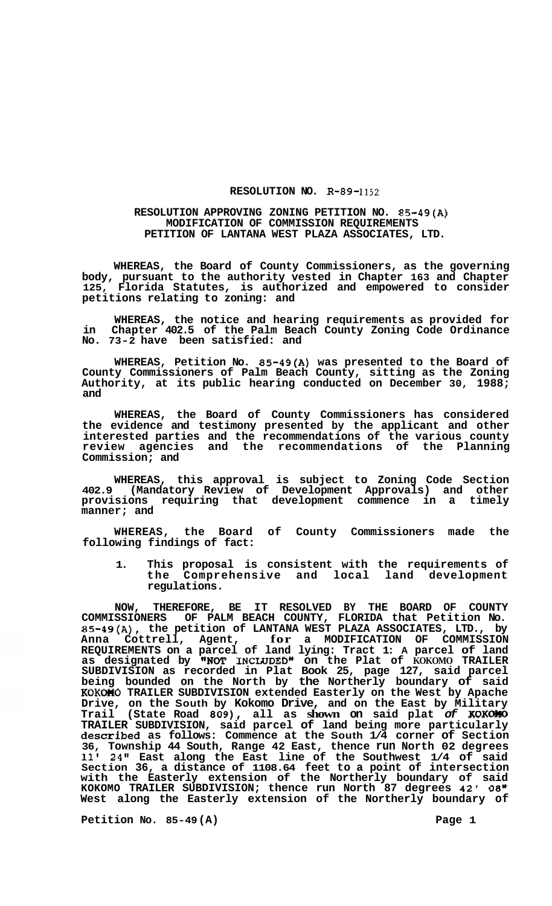## **RESOLUTION NO. R-89-1152**

## **RESOLUTION APPROVING ZONING PETITION NO. 85-49(A) MODIFICATION OF COMMISSION REQUIREMENTS PETITION OF LANTANA WEST PLAZA ASSOCIATES, LTD.**

**WHEREAS, the Board of County Commissioners, as the governing body, pursuant to the authority vested in Chapter 163 and Chapter 125, Florida Statutes, is authorized and empowered to consider petitions relating to zoning: and** 

**WHEREAS, the notice and hearing requirements as provided for in Chapter 402.5 of the Palm Beach County Zoning Code Ordinance No. 73-2 have been satisfied: and** 

**WHEREAS, Petition No. 85-49(A) was presented to the Board of County Commissioners of Palm Beach County, sitting as the Zoning Authority, at its public hearing conducted on December 30, 1988; and** 

**WHEREAS, the Board of County Commissioners has considered the evidence and testimony presented by the applicant and other interested parties and the recommendations of the various county review agencies and the recommendations of the Planning Commission; and** 

**WHEREAS, this approval is subject to Zoning Code Section 402.9 (Mandatory Review of Development Approvals) and other provisions requiring that development commence in a timely manner; and** 

**WHEREAS, the Board of County Commissioners made the following findings of fact:** 

**1. This proposal is consistent with the requirements of the Comprehensive and local land development regulations.** 

**NOW, THEREFORE, BE IT RESOLVED BY THE BOARD OF COUNTY COMMISSIONERS OF PALM BEACH COUNTY, FLORIDA that Petition No. 85-49(A), the petition of LANTANA WEST PLAZA ASSOCIATES, LTD., by Anna Cottrell, Agent, for a MODIFICATION OF COMMISSION REQUIREMENTS on a parcel of land lying: Tract 1: A parcel of land as designated by IINOT INCIJJDED" on the Plat of KOKOMO TRAILER SUBDIVISION as recorded in Plat Book 25, page 127, said parcel being bounded on the North by the Northerly boundary of said KOKOHO TRAILER SUBDIVISION extended Easterly on the West by Apache Drive, on the South by Kokomo Drive, and on the East by Military Trail (State Road** *809),* **all as shown on said plat** *of* **KOKOMO TRAILER SUBDIVISION, said parcel of land being more particularly described as follows: Commence at the South 1/4 corner of Section 36, Township 44 South, Range 42 East, thence run North 02 degrees 11' 24" East along the East line of the Southwest 1/4 of said Section 36, a distance of 1108.64 feet to a point of intersection with the Easterly extension of the Northerly boundary of said KOKOMO TRAILER SUBDIVISION; thence run North 87 degrees 42' 08" West along the Easterly extension of the Northerly boundary of** 

Petition No. 85-49 (A) **Page 1 Page 1**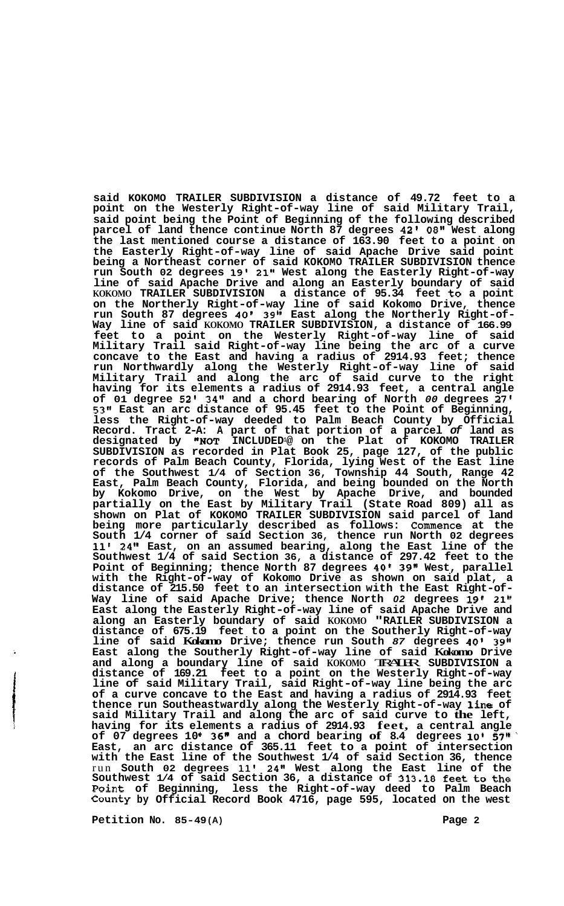**said KOKOMO TRAILER SUBDIVISION a distance of 49.72 feet to a point on the Westerly Right-of-way line of said Military Trail, said point being the Point of Beginning of the following described parcel of land thence continue North 87 degrees 42'** *08''* **West along the last mentioned course a distance of 163.90 feet to a point on the Easterly Right-of-way line of said Apache Drive said point being a Northeast corner of said KOKOMO TRAILER SUBDIVISION thence run South 02 degrees 19' 21" West along the Easterly Right-of-way line of said Apache Drive and along an Easterly boundary of said KOKOMO TRAILER SUBDIVISION a distance of 95.34 feet to a point on the Northerly Right-of-way line of said Kokomo Drive, thence run South 87 degrees 40' 39" East along the Northerly Right-of- Way line of said KOKOMO TRAILER SUBDIVISION, a distance of 166.99**  Way line of said KOKOMO TRAILER SUBDIVISION, a distance of 166.99 feet to a point on the Westerly Right-of-way line of said **Military Trail said Right-of-way line being the arc of a curve concave to the East and having a radius of 2914.93 feet; thence run Northwardly along the Westerly Right-of-way line of said Military Trail and along the arc of said curve to the right having for its elements a radius of 2914.93 feet, a central angle of 01 degree 52' 3411 and a chord bearing of North** *00* **degrees 27' 53" East an arc distance of 95.45 feet to the Point of Beginning, less the Right-of-way deeded to Palm Beach County by Official Record. Tract 2-A: A part of that portion of a parcel** *of* **land as designated by "NOT INCLUDED1@ on the Plat of KOKOMO TRAILER SUBDIVISION as recorded in Plat Book 25, page 127, of the public records of Palm Beach County, Florida, lying West of the East line of the Southwest 1/4 of Section 36, Township 44 South, Range 42 East, Palm Beach County, Florida, and being bounded on the North by Kokomo Drive, on the West by Apache Drive, and bounded partially on the East by Military Trail (State Road 809) all as shown on Plat of KOKOMO TRAILER SUBDIVISION said parcel of land being more particularly described as follows: Commence at the South 1/4 corner of said Section 36, thence run North 02 degrees 11' 24" East, on an assumed bearing, along the East line of the Southwest 1/4 of said Section 36, a distance of 297.42 feet to the Point of Beginning; thence North 87 degrees 40' 39" West, parallel with the Right-of-way of Kokomo Drive as shown on said plat, a distance of 215.50 feet to an intersection with the East Right-of- Way line of said Apache Drive; thence North** *<sup>02</sup>***degrees 19' 21" East along the Easterly Right-of-way line of said Apache Drive and along an Easterly boundary of said KOKOMO "RAILER SUBDIVISION a distance of 675.19 feet to a point on the Southerly Right-of-way line of said Kokomo Drive; thence run South** *87* **degrees 40' 39" East along the Southerly Right-of-way line of said Kokomo Drive and along a boundary line of said KOKOMO** TRAILER **SUBDIVISION a distance of 169.21 feet to a point on the Westerly Right-of-way line of said Military Trail, said Right-of-way line being the arc of a curve concave to the East and having a radius of 2914.93 feet thence run Southeastwardly along the Westerly Right-of-way line of said Military Trail and along the arc of said curve to the left, having for its elements a radius of 2914.93 feet, a central angle of 07 degrees 10 36" and a chord bearing of 8.4 degrees 10' 5711** ' **East, an arc distance of 365.11 feet to a point of intersection with the East line of the Southwest 1/4 of said Section 36, thence**  run **South 02 degrees 111 24" West along the East line of the Southwest 1/4 of said Section 36, a distance of 313.18 feet to the Point of Beginning, less the Right-of-way deed to Palm Beach County by Official Record Book 4716, page 595, located on the west** 

**Petition No. 85-49 (A) Page 2**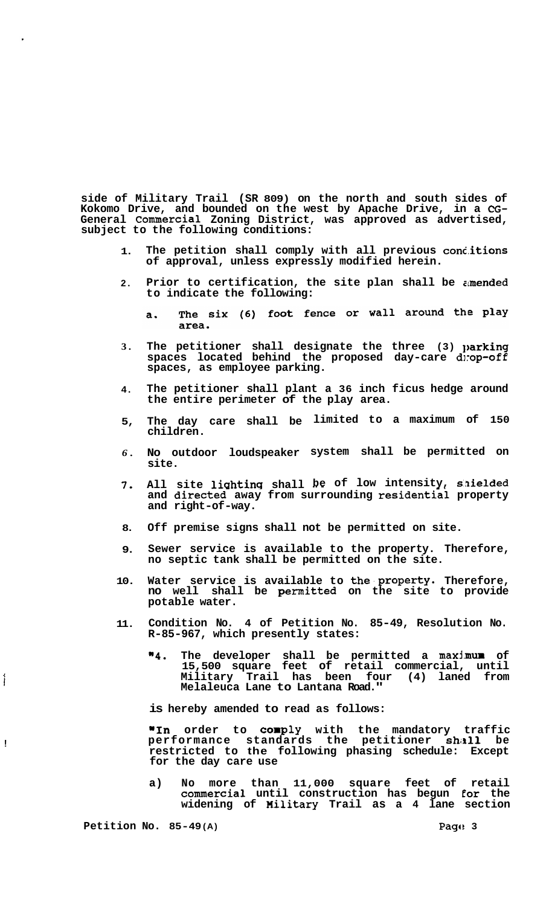**side of Military Trail (SR 809) on the north and south sides of Kokomo Drive, and bounded on the west by Apache Drive, in a CG-General Commercial Zoning District, was approved as advertised, subject to the following conditions:** 

- **1. The petition shall comply with all previous concitions of approval, unless expressly modified herein.**
- **2. Prior to certification, the site plan shall be amended to indicate the following:** 
	- The six (6) foot fence or wall around the play  $a.$ area.
- **3.**  The petitioner shall designate the three (3) parking spaces located behind the proposed day-care drop-off **spaces, as employee parking.**
- **4. The petitioner shall plant a 36 inch ficus hedge around the entire perimeter of the play area.**
- **5, The day care shall be limited to a maximum of 150 children.**
- *6.*  **No outdoor loudspeaker system shall be permitted on site.**
- *7,*  All site lighting shall be of low intensity, shielded and directed away from surrounding residential property **and right-of-way.**
- **8. Off premise signs shall not be permitted on site.**
- **9. Sewer service is available to the property. Therefore, no septic tank shall be permitted on the site.**
- **10. Water service is available to the'property. Therefore, no well shall be permitted on the site to provide potable water.**
- **11. Condition No. 4 of Petition No. 85-49, Resolution No. R-85-967, which presently states:** 
	- **"4. The developer shall be permitted a maxlimum of 15,500 square feet of retail commercial, until Military Trail has been four (4) laned from Melaleuca Lane to Lantana Road."**

**is hereby amended to read as follows:** 

**"In order to corply with the mandatory traffic performance standards the petitioner shall be restricted to the following phasing schedule: Except for the day care use** 

**a) No more than 11,000 square feet of retail commercial until construction has begun €or the widening of Hilitary Trail as a 4 lane section** 

**Petition No. 85-49(A) Page: 3** 

!

1